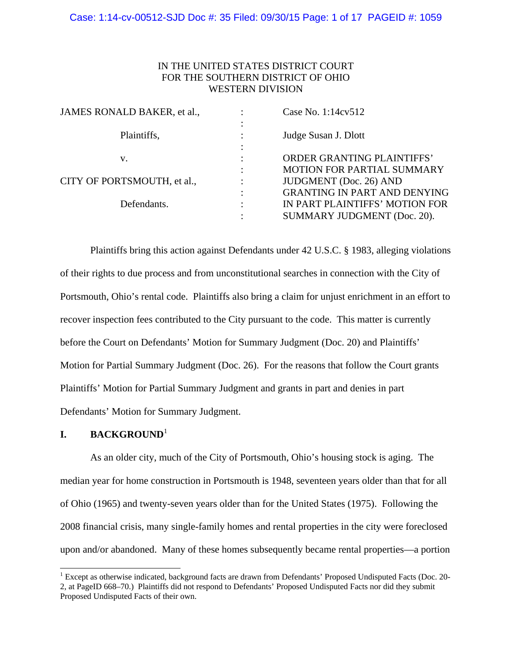# IN THE UNITED STATES DISTRICT COURT FOR THE SOUTHERN DISTRICT OF OHIO WESTERN DIVISION

| JAMES RONALD BAKER, et al., |   | Case No. 1:14cv512                                                                                   |
|-----------------------------|---|------------------------------------------------------------------------------------------------------|
| Plaintiffs,                 |   | Judge Susan J. Dlott                                                                                 |
| v.                          |   | <b>ORDER GRANTING PLAINTIFFS'</b>                                                                    |
| CITY OF PORTSMOUTH, et al., |   | MOTION FOR PARTIAL SUMMARY<br>JUDGMENT (Doc. 26) AND                                                 |
| Defendants.                 | ٠ | <b>GRANTING IN PART AND DENYING</b><br>IN PART PLAINTIFFS' MOTION FOR<br>SUMMARY JUDGMENT (Doc. 20). |
|                             |   |                                                                                                      |

Plaintiffs bring this action against Defendants under 42 U.S.C. § 1983, alleging violations of their rights to due process and from unconstitutional searches in connection with the City of Portsmouth, Ohio's rental code. Plaintiffs also bring a claim for unjust enrichment in an effort to recover inspection fees contributed to the City pursuant to the code. This matter is currently before the Court on Defendants' Motion for Summary Judgment (Doc. 20) and Plaintiffs' Motion for Partial Summary Judgment (Doc. 26). For the reasons that follow the Court grants Plaintiffs' Motion for Partial Summary Judgment and grants in part and denies in part Defendants' Motion for Summary Judgment.

# **I. BACKGROUND**<sup>1</sup>

l

 As an older city, much of the City of Portsmouth, Ohio's housing stock is aging. The median year for home construction in Portsmouth is 1948, seventeen years older than that for all of Ohio (1965) and twenty-seven years older than for the United States (1975). Following the 2008 financial crisis, many single-family homes and rental properties in the city were foreclosed upon and/or abandoned. Many of these homes subsequently became rental properties—a portion

<sup>&</sup>lt;sup>1</sup> Except as otherwise indicated, background facts are drawn from Defendants' Proposed Undisputed Facts (Doc. 20-2, at PageID 668–70.) Plaintiffs did not respond to Defendants' Proposed Undisputed Facts nor did they submit Proposed Undisputed Facts of their own.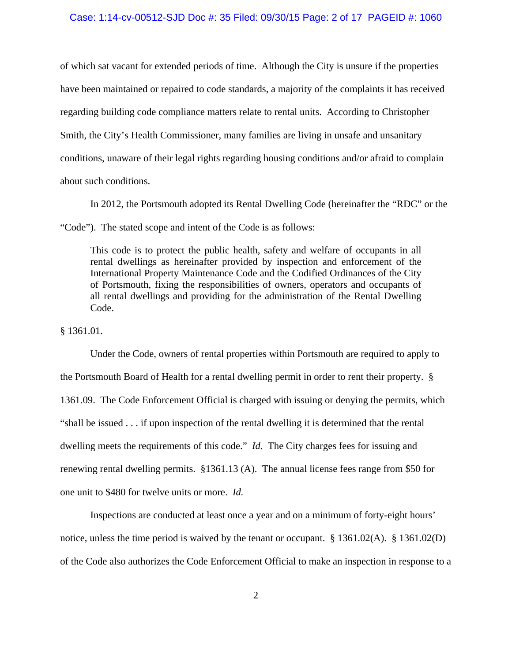### Case: 1:14-cv-00512-SJD Doc #: 35 Filed: 09/30/15 Page: 2 of 17 PAGEID #: 1060

of which sat vacant for extended periods of time. Although the City is unsure if the properties have been maintained or repaired to code standards, a majority of the complaints it has received regarding building code compliance matters relate to rental units. According to Christopher Smith, the City's Health Commissioner, many families are living in unsafe and unsanitary conditions, unaware of their legal rights regarding housing conditions and/or afraid to complain about such conditions.

 In 2012, the Portsmouth adopted its Rental Dwelling Code (hereinafter the "RDC" or the "Code"). The stated scope and intent of the Code is as follows:

This code is to protect the public health, safety and welfare of occupants in all rental dwellings as hereinafter provided by inspection and enforcement of the International Property Maintenance Code and the Codified Ordinances of the City of Portsmouth, fixing the responsibilities of owners, operators and occupants of all rental dwellings and providing for the administration of the Rental Dwelling Code.

§ 1361.01.

 Under the Code, owners of rental properties within Portsmouth are required to apply to the Portsmouth Board of Health for a rental dwelling permit in order to rent their property. § 1361.09. The Code Enforcement Official is charged with issuing or denying the permits, which "shall be issued . . . if upon inspection of the rental dwelling it is determined that the rental dwelling meets the requirements of this code." *Id.* The City charges fees for issuing and renewing rental dwelling permits. §1361.13 (A). The annual license fees range from \$50 for one unit to \$480 for twelve units or more. *Id.*

 Inspections are conducted at least once a year and on a minimum of forty-eight hours' notice, unless the time period is waived by the tenant or occupant. § 1361.02(A). § 1361.02(D) of the Code also authorizes the Code Enforcement Official to make an inspection in response to a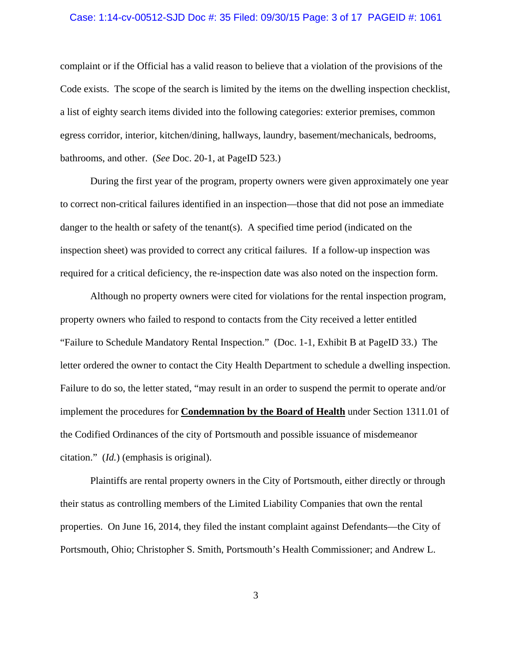### Case: 1:14-cv-00512-SJD Doc #: 35 Filed: 09/30/15 Page: 3 of 17 PAGEID #: 1061

complaint or if the Official has a valid reason to believe that a violation of the provisions of the Code exists. The scope of the search is limited by the items on the dwelling inspection checklist, a list of eighty search items divided into the following categories: exterior premises, common egress corridor, interior, kitchen/dining, hallways, laundry, basement/mechanicals, bedrooms, bathrooms, and other. (*See* Doc. 20-1, at PageID 523.)

 During the first year of the program, property owners were given approximately one year to correct non-critical failures identified in an inspection—those that did not pose an immediate danger to the health or safety of the tenant(s). A specified time period (indicated on the inspection sheet) was provided to correct any critical failures. If a follow-up inspection was required for a critical deficiency, the re-inspection date was also noted on the inspection form.

 Although no property owners were cited for violations for the rental inspection program, property owners who failed to respond to contacts from the City received a letter entitled "Failure to Schedule Mandatory Rental Inspection." (Doc. 1-1, Exhibit B at PageID 33.) The letter ordered the owner to contact the City Health Department to schedule a dwelling inspection. Failure to do so, the letter stated, "may result in an order to suspend the permit to operate and/or implement the procedures for **Condemnation by the Board of Health** under Section 1311.01 of the Codified Ordinances of the city of Portsmouth and possible issuance of misdemeanor citation." (*Id.*) (emphasis is original).

 Plaintiffs are rental property owners in the City of Portsmouth, either directly or through their status as controlling members of the Limited Liability Companies that own the rental properties. On June 16, 2014, they filed the instant complaint against Defendants—the City of Portsmouth, Ohio; Christopher S. Smith, Portsmouth's Health Commissioner; and Andrew L.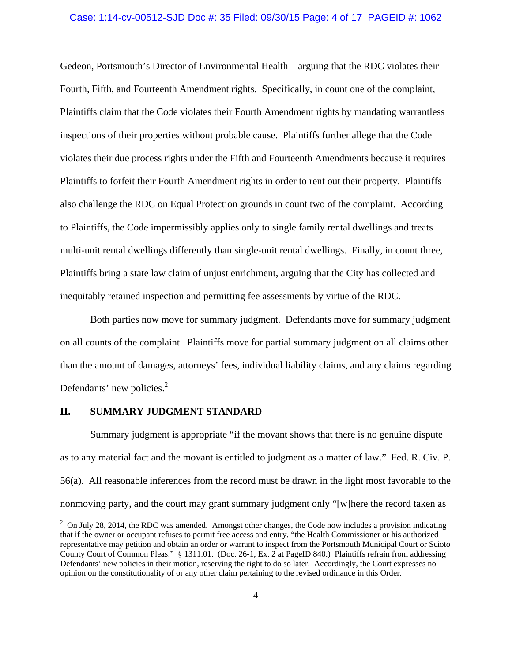#### Case: 1:14-cv-00512-SJD Doc #: 35 Filed: 09/30/15 Page: 4 of 17 PAGEID #: 1062

Gedeon, Portsmouth's Director of Environmental Health—arguing that the RDC violates their Fourth, Fifth, and Fourteenth Amendment rights. Specifically, in count one of the complaint, Plaintiffs claim that the Code violates their Fourth Amendment rights by mandating warrantless inspections of their properties without probable cause. Plaintiffs further allege that the Code violates their due process rights under the Fifth and Fourteenth Amendments because it requires Plaintiffs to forfeit their Fourth Amendment rights in order to rent out their property. Plaintiffs also challenge the RDC on Equal Protection grounds in count two of the complaint. According to Plaintiffs, the Code impermissibly applies only to single family rental dwellings and treats multi-unit rental dwellings differently than single-unit rental dwellings. Finally, in count three, Plaintiffs bring a state law claim of unjust enrichment, arguing that the City has collected and inequitably retained inspection and permitting fee assessments by virtue of the RDC.

 Both parties now move for summary judgment. Defendants move for summary judgment on all counts of the complaint. Plaintiffs move for partial summary judgment on all claims other than the amount of damages, attorneys' fees, individual liability claims, and any claims regarding Defendants' new policies. $2$ 

# **II. SUMMARY JUDGMENT STANDARD**

 Summary judgment is appropriate "if the movant shows that there is no genuine dispute as to any material fact and the movant is entitled to judgment as a matter of law." Fed. R. Civ. P. 56(a). All reasonable inferences from the record must be drawn in the light most favorable to the nonmoving party, and the court may grant summary judgment only "[w]here the record taken as

<sup>&</sup>lt;sup>2</sup> On July 28, 2014, the RDC was amended. Amongst other changes, the Code now includes a provision indicating that if the owner or occupant refuses to permit free access and entry, "the Health Commissioner or his authorized representative may petition and obtain an order or warrant to inspect from the Portsmouth Municipal Court or Scioto County Court of Common Pleas." § 1311.01. (Doc. 26-1, Ex. 2 at PageID 840.) Plaintiffs refrain from addressing Defendants' new policies in their motion, reserving the right to do so later. Accordingly, the Court expresses no opinion on the constitutionality of or any other claim pertaining to the revised ordinance in this Order.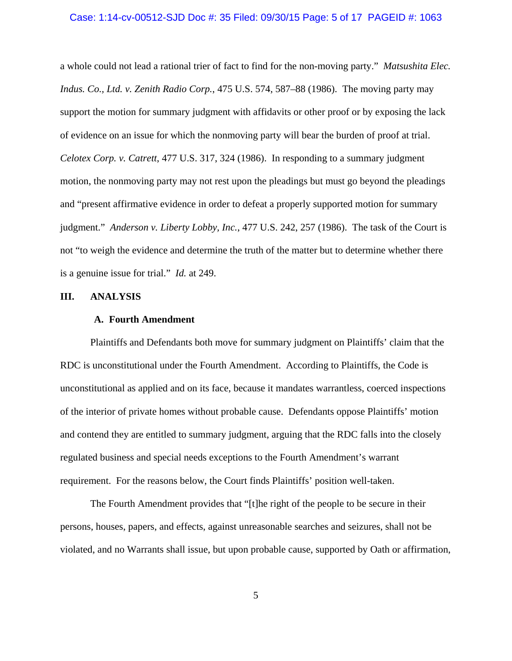#### Case: 1:14-cv-00512-SJD Doc #: 35 Filed: 09/30/15 Page: 5 of 17 PAGEID #: 1063

a whole could not lead a rational trier of fact to find for the non-moving party." *Matsushita Elec. Indus. Co., Ltd. v. Zenith Radio Corp.*, 475 U.S. 574, 587–88 (1986). The moving party may support the motion for summary judgment with affidavits or other proof or by exposing the lack of evidence on an issue for which the nonmoving party will bear the burden of proof at trial. *Celotex Corp. v. Catrett*, 477 U.S. 317, 324 (1986). In responding to a summary judgment motion, the nonmoving party may not rest upon the pleadings but must go beyond the pleadings and "present affirmative evidence in order to defeat a properly supported motion for summary judgment." *Anderson v. Liberty Lobby, Inc.*, 477 U.S. 242, 257 (1986). The task of the Court is not "to weigh the evidence and determine the truth of the matter but to determine whether there is a genuine issue for trial." *Id.* at 249.

# **III. ANALYSIS**

### **A. Fourth Amendment**

Plaintiffs and Defendants both move for summary judgment on Plaintiffs' claim that the RDC is unconstitutional under the Fourth Amendment. According to Plaintiffs, the Code is unconstitutional as applied and on its face, because it mandates warrantless, coerced inspections of the interior of private homes without probable cause. Defendants oppose Plaintiffs' motion and contend they are entitled to summary judgment, arguing that the RDC falls into the closely regulated business and special needs exceptions to the Fourth Amendment's warrant requirement. For the reasons below, the Court finds Plaintiffs' position well-taken.

 The Fourth Amendment provides that "[t]he right of the people to be secure in their persons, houses, papers, and effects, against unreasonable searches and seizures, shall not be violated, and no Warrants shall issue, but upon probable cause, supported by Oath or affirmation,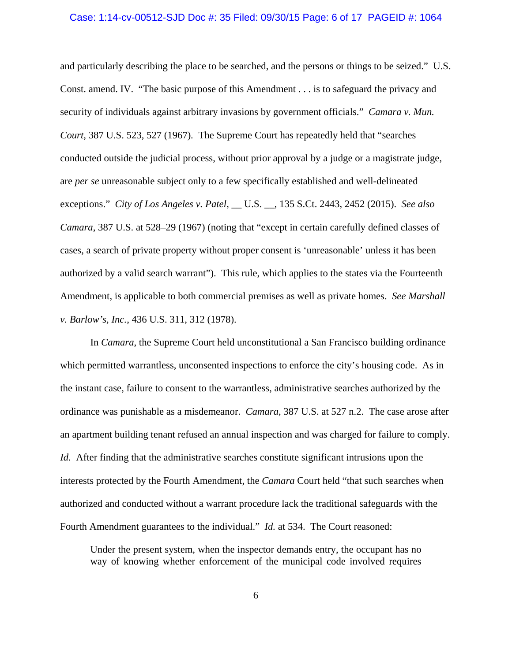#### Case: 1:14-cv-00512-SJD Doc #: 35 Filed: 09/30/15 Page: 6 of 17 PAGEID #: 1064

and particularly describing the place to be searched, and the persons or things to be seized." U.S. Const. amend. IV. "The basic purpose of this Amendment . . . is to safeguard the privacy and security of individuals against arbitrary invasions by government officials." *Camara v. Mun. Court*, 387 U.S. 523, 527 (1967)*.* The Supreme Court has repeatedly held that "searches conducted outside the judicial process, without prior approval by a judge or a magistrate judge, are *per se* unreasonable subject only to a few specifically established and well-delineated exceptions." *City of Los Angeles v. Patel*, \_\_ U.S. \_\_, 135 S.Ct. 2443, 2452 (2015). *See also Camara*, 387 U.S. at 528–29 (1967) (noting that "except in certain carefully defined classes of cases, a search of private property without proper consent is 'unreasonable' unless it has been authorized by a valid search warrant"). This rule, which applies to the states via the Fourteenth Amendment, is applicable to both commercial premises as well as private homes. *See Marshall v. Barlow's, Inc.*, 436 U.S. 311, 312 (1978).

In *Camara*, the Supreme Court held unconstitutional a San Francisco building ordinance which permitted warrantless, unconsented inspections to enforce the city's housing code. As in the instant case, failure to consent to the warrantless, administrative searches authorized by the ordinance was punishable as a misdemeanor. *Camara*, 387 U.S. at 527 n.2. The case arose after an apartment building tenant refused an annual inspection and was charged for failure to comply. *Id.* After finding that the administrative searches constitute significant intrusions upon the interests protected by the Fourth Amendment, the *Camara* Court held "that such searches when authorized and conducted without a warrant procedure lack the traditional safeguards with the Fourth Amendment guarantees to the individual." *Id.* at 534. The Court reasoned:

Under the present system, when the inspector demands entry, the occupant has no way of knowing whether enforcement of the municipal code involved requires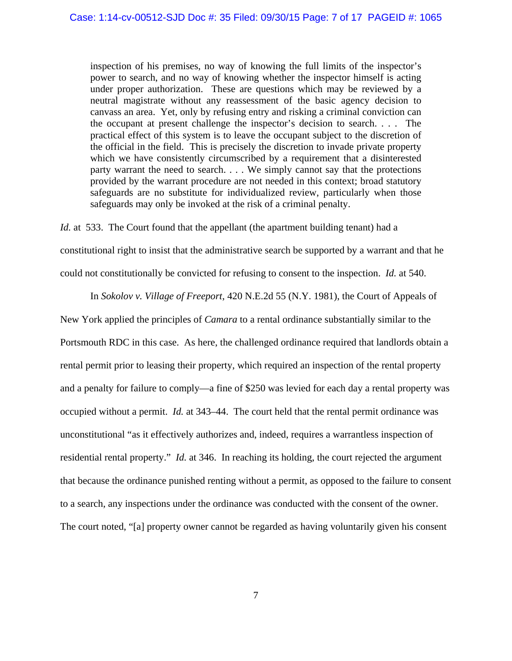inspection of his premises, no way of knowing the full limits of the inspector's power to search, and no way of knowing whether the inspector himself is acting under proper authorization. These are questions which may be reviewed by a neutral magistrate without any reassessment of the basic agency decision to canvass an area. Yet, only by refusing entry and risking a criminal conviction can the occupant at present challenge the inspector's decision to search. . . . The practical effect of this system is to leave the occupant subject to the discretion of the official in the field. This is precisely the discretion to invade private property which we have consistently circumscribed by a requirement that a disinterested party warrant the need to search. . . . We simply cannot say that the protections provided by the warrant procedure are not needed in this context; broad statutory safeguards are no substitute for individualized review, particularly when those safeguards may only be invoked at the risk of a criminal penalty.

*Id.* at 533. The Court found that the appellant (the apartment building tenant) had a constitutional right to insist that the administrative search be supported by a warrant and that he could not constitutionally be convicted for refusing to consent to the inspection. *Id.* at 540.

In *Sokolov v. Village of Freeport*, 420 N.E.2d 55 (N.Y. 1981), the Court of Appeals of

New York applied the principles of *Camara* to a rental ordinance substantially similar to the Portsmouth RDC in this case. As here, the challenged ordinance required that landlords obtain a rental permit prior to leasing their property, which required an inspection of the rental property and a penalty for failure to comply—a fine of \$250 was levied for each day a rental property was occupied without a permit. *Id.* at 343–44. The court held that the rental permit ordinance was unconstitutional "as it effectively authorizes and, indeed, requires a warrantless inspection of residential rental property." *Id.* at 346. In reaching its holding, the court rejected the argument that because the ordinance punished renting without a permit, as opposed to the failure to consent to a search, any inspections under the ordinance was conducted with the consent of the owner. The court noted, "[a] property owner cannot be regarded as having voluntarily given his consent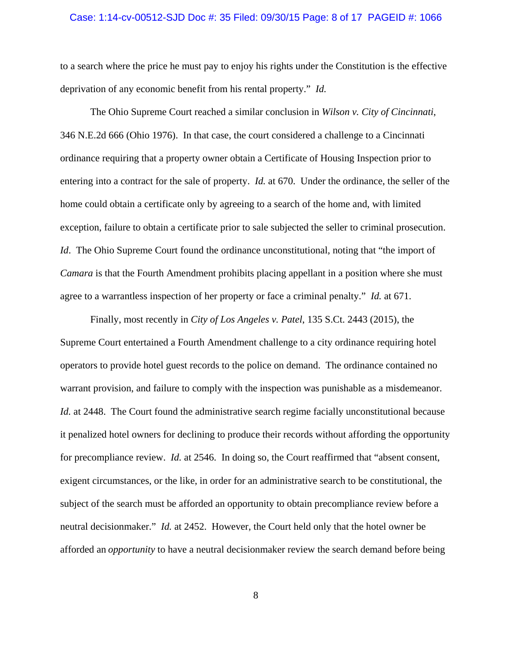### Case: 1:14-cv-00512-SJD Doc #: 35 Filed: 09/30/15 Page: 8 of 17 PAGEID #: 1066

to a search where the price he must pay to enjoy his rights under the Constitution is the effective deprivation of any economic benefit from his rental property." *Id.*

 The Ohio Supreme Court reached a similar conclusion in *Wilson v. City of Cincinnati*, 346 N.E.2d 666 (Ohio 1976). In that case, the court considered a challenge to a Cincinnati ordinance requiring that a property owner obtain a Certificate of Housing Inspection prior to entering into a contract for the sale of property. *Id.* at 670. Under the ordinance, the seller of the home could obtain a certificate only by agreeing to a search of the home and, with limited exception, failure to obtain a certificate prior to sale subjected the seller to criminal prosecution. *Id.* The Ohio Supreme Court found the ordinance unconstitutional, noting that "the import of *Camara* is that the Fourth Amendment prohibits placing appellant in a position where she must agree to a warrantless inspection of her property or face a criminal penalty." *Id.* at 671.

 Finally, most recently in *City of Los Angeles v. Patel*, 135 S.Ct. 2443 (2015), the Supreme Court entertained a Fourth Amendment challenge to a city ordinance requiring hotel operators to provide hotel guest records to the police on demand. The ordinance contained no warrant provision, and failure to comply with the inspection was punishable as a misdemeanor. *Id.* at 2448. The Court found the administrative search regime facially unconstitutional because it penalized hotel owners for declining to produce their records without affording the opportunity for precompliance review. *Id.* at 2546. In doing so, the Court reaffirmed that "absent consent, exigent circumstances, or the like, in order for an administrative search to be constitutional, the subject of the search must be afforded an opportunity to obtain precompliance review before a neutral decisionmaker." *Id.* at 2452. However, the Court held only that the hotel owner be afforded an *opportunity* to have a neutral decisionmaker review the search demand before being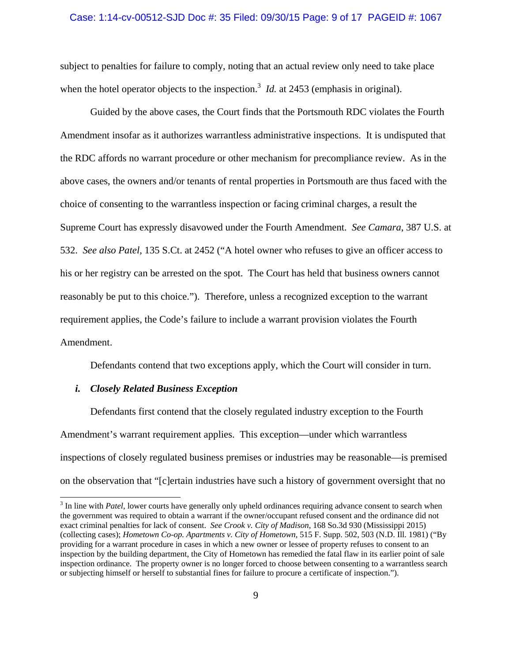### Case: 1:14-cv-00512-SJD Doc #: 35 Filed: 09/30/15 Page: 9 of 17 PAGEID #: 1067

subject to penalties for failure to comply, noting that an actual review only need to take place when the hotel operator objects to the inspection.<sup>3</sup> *Id.* at 2453 (emphasis in original).

 Guided by the above cases, the Court finds that the Portsmouth RDC violates the Fourth Amendment insofar as it authorizes warrantless administrative inspections. It is undisputed that the RDC affords no warrant procedure or other mechanism for precompliance review. As in the above cases, the owners and/or tenants of rental properties in Portsmouth are thus faced with the choice of consenting to the warrantless inspection or facing criminal charges, a result the Supreme Court has expressly disavowed under the Fourth Amendment. *See Camara*, 387 U.S. at 532. *See also Patel*, 135 S.Ct. at 2452 ("A hotel owner who refuses to give an officer access to his or her registry can be arrested on the spot. The Court has held that business owners cannot reasonably be put to this choice."). Therefore, unless a recognized exception to the warrant requirement applies, the Code's failure to include a warrant provision violates the Fourth Amendment.

Defendants contend that two exceptions apply, which the Court will consider in turn.

# *i. Closely Related Business Exception*

 $\overline{\phantom{a}}$ 

 Defendants first contend that the closely regulated industry exception to the Fourth Amendment's warrant requirement applies. This exception—under which warrantless inspections of closely regulated business premises or industries may be reasonable—is premised on the observation that "[c]ertain industries have such a history of government oversight that no

<sup>&</sup>lt;sup>3</sup> In line with *Patel*, lower courts have generally only upheld ordinances requiring advance consent to search when the government was required to obtain a warrant if the owner/occupant refused consent and the ordinance did not exact criminal penalties for lack of consent. *See Crook v. City of Madison*, 168 So.3d 930 (Mississippi 2015) (collecting cases); *Hometown Co-op. Apartments v. City of Hometown*, 515 F. Supp. 502, 503 (N.D. Ill. 1981) ("By providing for a warrant procedure in cases in which a new owner or lessee of property refuses to consent to an inspection by the building department, the City of Hometown has remedied the fatal flaw in its earlier point of sale inspection ordinance. The property owner is no longer forced to choose between consenting to a warrantless search or subjecting himself or herself to substantial fines for failure to procure a certificate of inspection.").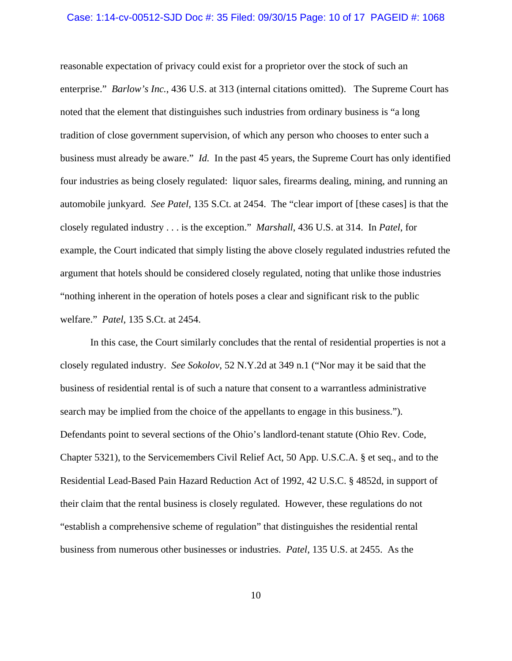#### Case: 1:14-cv-00512-SJD Doc #: 35 Filed: 09/30/15 Page: 10 of 17 PAGEID #: 1068

reasonable expectation of privacy could exist for a proprietor over the stock of such an enterprise." *Barlow's Inc.*, 436 U.S. at 313 (internal citations omitted). The Supreme Court has noted that the element that distinguishes such industries from ordinary business is "a long tradition of close government supervision, of which any person who chooses to enter such a business must already be aware." *Id.* In the past 45 years, the Supreme Court has only identified four industries as being closely regulated: liquor sales, firearms dealing, mining, and running an automobile junkyard. *See Patel,* 135 S.Ct. at 2454. The "clear import of [these cases] is that the closely regulated industry . . . is the exception." *Marshall*, 436 U.S. at 314. In *Patel*, for example, the Court indicated that simply listing the above closely regulated industries refuted the argument that hotels should be considered closely regulated, noting that unlike those industries "nothing inherent in the operation of hotels poses a clear and significant risk to the public welfare." *Patel*, 135 S.Ct. at 2454.

 In this case, the Court similarly concludes that the rental of residential properties is not a closely regulated industry. *See Sokolov*, 52 N.Y.2d at 349 n.1 ("Nor may it be said that the business of residential rental is of such a nature that consent to a warrantless administrative search may be implied from the choice of the appellants to engage in this business."). Defendants point to several sections of the Ohio's landlord-tenant statute (Ohio Rev. Code, Chapter 5321), to the Servicemembers Civil Relief Act, 50 App. U.S.C.A. § et seq., and to the Residential Lead-Based Pain Hazard Reduction Act of 1992, 42 U.S.C. § 4852d, in support of their claim that the rental business is closely regulated. However, these regulations do not "establish a comprehensive scheme of regulation" that distinguishes the residential rental business from numerous other businesses or industries. *Patel,* 135 U.S. at 2455. As the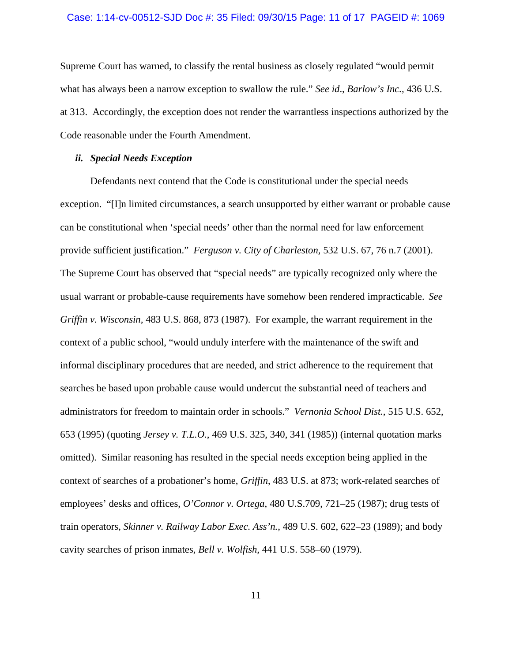#### Case: 1:14-cv-00512-SJD Doc #: 35 Filed: 09/30/15 Page: 11 of 17 PAGEID #: 1069

Supreme Court has warned, to classify the rental business as closely regulated "would permit what has always been a narrow exception to swallow the rule." *See id*., *Barlow's Inc.,* 436 U.S. at 313. Accordingly, the exception does not render the warrantless inspections authorized by the Code reasonable under the Fourth Amendment.

# *ii. Special Needs Exception*

 Defendants next contend that the Code is constitutional under the special needs exception. "[I]n limited circumstances, a search unsupported by either warrant or probable cause can be constitutional when 'special needs' other than the normal need for law enforcement provide sufficient justification." *Ferguson v. City of Charleston,* 532 U.S. 67, 76 n.7 (2001). The Supreme Court has observed that "special needs" are typically recognized only where the usual warrant or probable-cause requirements have somehow been rendered impracticable. *See Griffin v. Wisconsin,* 483 U.S. 868, 873 (1987). For example, the warrant requirement in the context of a public school, "would unduly interfere with the maintenance of the swift and informal disciplinary procedures that are needed, and strict adherence to the requirement that searches be based upon probable cause would undercut the substantial need of teachers and administrators for freedom to maintain order in schools." *Vernonia School Dist.*, 515 U.S. 652, 653 (1995) (quoting *Jersey v. T.L.O.*, 469 U.S. 325, 340, 341 (1985)) (internal quotation marks omitted). Similar reasoning has resulted in the special needs exception being applied in the context of searches of a probationer's home, *Griffin*, 483 U.S. at 873; work-related searches of employees' desks and offices, *O'Connor v. Ortega*, 480 U.S.709, 721–25 (1987); drug tests of train operators, *Skinner v. Railway Labor Exec. Ass'n.*, 489 U.S. 602, 622–23 (1989); and body cavity searches of prison inmates, *Bell v. Wolfish*, 441 U.S. 558–60 (1979).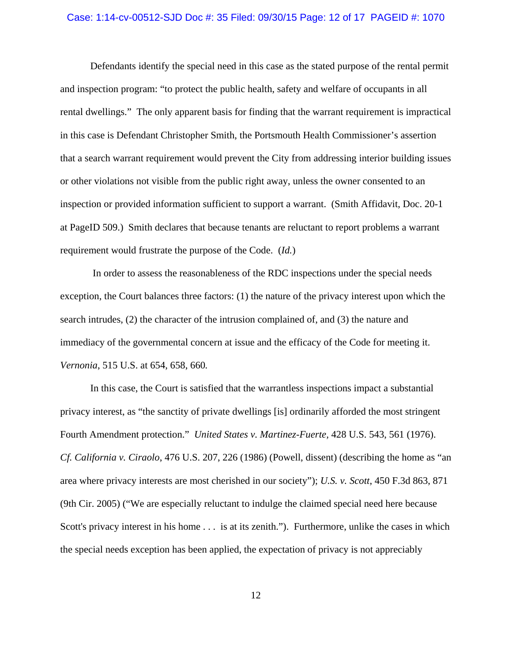#### Case: 1:14-cv-00512-SJD Doc #: 35 Filed: 09/30/15 Page: 12 of 17 PAGEID #: 1070

 Defendants identify the special need in this case as the stated purpose of the rental permit and inspection program: "to protect the public health, safety and welfare of occupants in all rental dwellings." The only apparent basis for finding that the warrant requirement is impractical in this case is Defendant Christopher Smith, the Portsmouth Health Commissioner's assertion that a search warrant requirement would prevent the City from addressing interior building issues or other violations not visible from the public right away, unless the owner consented to an inspection or provided information sufficient to support a warrant. (Smith Affidavit, Doc. 20-1 at PageID 509.) Smith declares that because tenants are reluctant to report problems a warrant requirement would frustrate the purpose of the Code. (*Id.*)

 In order to assess the reasonableness of the RDC inspections under the special needs exception, the Court balances three factors: (1) the nature of the privacy interest upon which the search intrudes, (2) the character of the intrusion complained of, and (3) the nature and immediacy of the governmental concern at issue and the efficacy of the Code for meeting it. *Vernonia*, 515 U.S. at 654, 658, 660*.* 

In this case, the Court is satisfied that the warrantless inspections impact a substantial privacy interest, as "the sanctity of private dwellings [is] ordinarily afforded the most stringent Fourth Amendment protection." *United States v. Martinez-Fuerte,* 428 U.S. 543, 561 (1976). *Cf. California v. Ciraolo*, 476 U.S. 207, 226 (1986) (Powell, dissent) (describing the home as "an area where privacy interests are most cherished in our society"); *U.S. v. Scott*, 450 F.3d 863, 871 (9th Cir. 2005) ("We are especially reluctant to indulge the claimed special need here because Scott's privacy interest in his home . . . is at its zenith."). Furthermore, unlike the cases in which the special needs exception has been applied, the expectation of privacy is not appreciably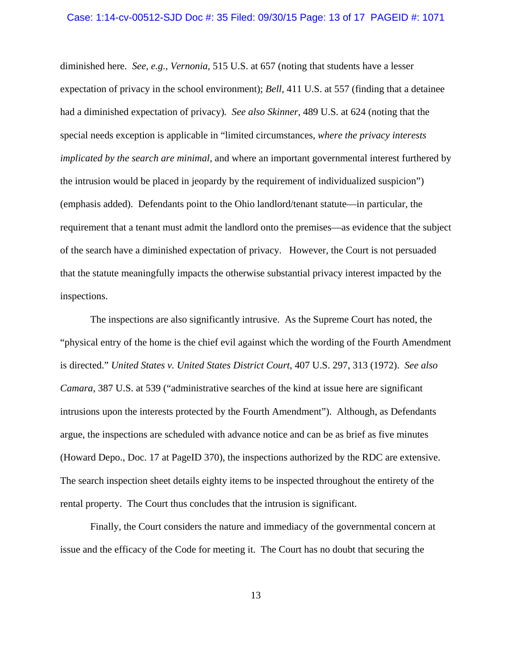#### Case: 1:14-cv-00512-SJD Doc #: 35 Filed: 09/30/15 Page: 13 of 17 PAGEID #: 1071

diminished here. *See*, *e.g., Vernonia,* 515 U.S. at 657 (noting that students have a lesser expectation of privacy in the school environment); *Bell*, 411 U.S. at 557 (finding that a detainee had a diminished expectation of privacy)*. See also Skinner,* 489 U.S. at 624 (noting that the special needs exception is applicable in "limited circumstances, *where the privacy interests implicated by the search are minimal*, and where an important governmental interest furthered by the intrusion would be placed in jeopardy by the requirement of individualized suspicion") (emphasis added). Defendants point to the Ohio landlord/tenant statute—in particular, the requirement that a tenant must admit the landlord onto the premises—as evidence that the subject of the search have a diminished expectation of privacy. However, the Court is not persuaded that the statute meaningfully impacts the otherwise substantial privacy interest impacted by the inspections.

 The inspections are also significantly intrusive. As the Supreme Court has noted, the "physical entry of the home is the chief evil against which the wording of the Fourth Amendment is directed." *United States v. United States District Court*, 407 U.S. 297, 313 (1972). *See also Camara*, 387 U.S. at 539 ("administrative searches of the kind at issue here are significant intrusions upon the interests protected by the Fourth Amendment"). Although, as Defendants argue, the inspections are scheduled with advance notice and can be as brief as five minutes (Howard Depo., Doc. 17 at PageID 370), the inspections authorized by the RDC are extensive. The search inspection sheet details eighty items to be inspected throughout the entirety of the rental property. The Court thus concludes that the intrusion is significant.

 Finally, the Court considers the nature and immediacy of the governmental concern at issue and the efficacy of the Code for meeting it. The Court has no doubt that securing the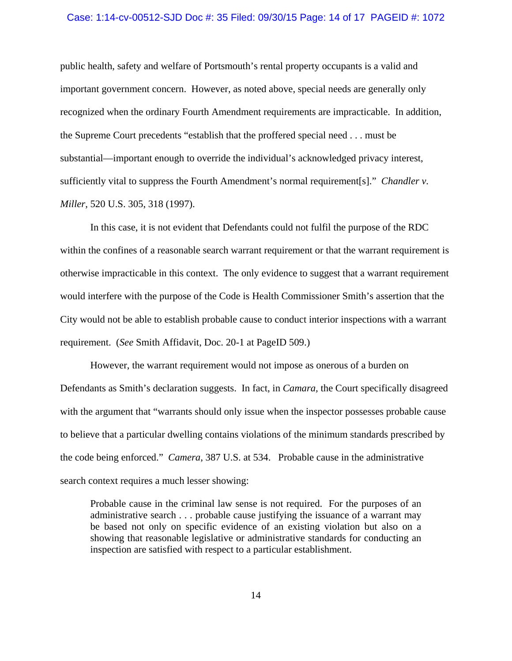### Case: 1:14-cv-00512-SJD Doc #: 35 Filed: 09/30/15 Page: 14 of 17 PAGEID #: 1072

public health, safety and welfare of Portsmouth's rental property occupants is a valid and important government concern. However, as noted above, special needs are generally only recognized when the ordinary Fourth Amendment requirements are impracticable. In addition, the Supreme Court precedents "establish that the proffered special need . . . must be substantial—important enough to override the individual's acknowledged privacy interest, sufficiently vital to suppress the Fourth Amendment's normal requirement[s]." *Chandler v. Miller*, 520 U.S. 305, 318 (1997).

 In this case, it is not evident that Defendants could not fulfil the purpose of the RDC within the confines of a reasonable search warrant requirement or that the warrant requirement is otherwise impracticable in this context. The only evidence to suggest that a warrant requirement would interfere with the purpose of the Code is Health Commissioner Smith's assertion that the City would not be able to establish probable cause to conduct interior inspections with a warrant requirement. (*See* Smith Affidavit, Doc. 20-1 at PageID 509.)

 However, the warrant requirement would not impose as onerous of a burden on Defendants as Smith's declaration suggests. In fact, in *Camara,* the Court specifically disagreed with the argument that "warrants should only issue when the inspector possesses probable cause to believe that a particular dwelling contains violations of the minimum standards prescribed by the code being enforced." *Camera*, 387 U.S. at 534. Probable cause in the administrative search context requires a much lesser showing:

Probable cause in the criminal law sense is not required. For the purposes of an administrative search . . . probable cause justifying the issuance of a warrant may be based not only on specific evidence of an existing violation but also on a showing that reasonable legislative or administrative standards for conducting an inspection are satisfied with respect to a particular establishment.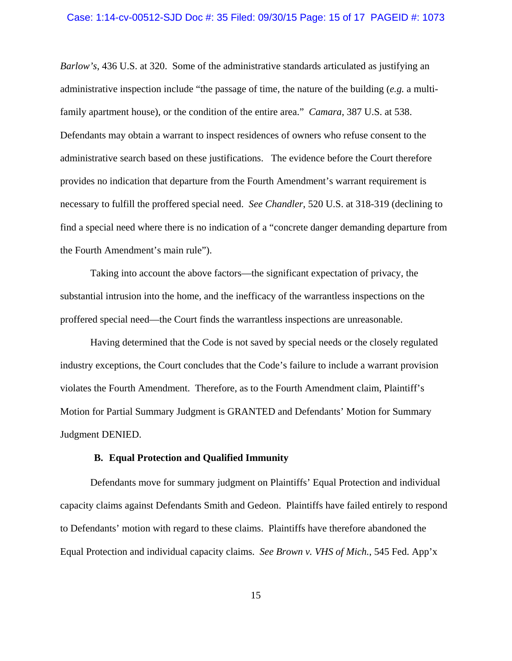#### Case: 1:14-cv-00512-SJD Doc #: 35 Filed: 09/30/15 Page: 15 of 17 PAGEID #: 1073

*Barlow's*, 436 U.S. at 320. Some of the administrative standards articulated as justifying an administrative inspection include "the passage of time, the nature of the building (*e.g.* a multifamily apartment house), or the condition of the entire area." *Camara*, 387 U.S. at 538. Defendants may obtain a warrant to inspect residences of owners who refuse consent to the administrative search based on these justifications. The evidence before the Court therefore provides no indication that departure from the Fourth Amendment's warrant requirement is necessary to fulfill the proffered special need. *See Chandler*, 520 U.S. at 318-319 (declining to find a special need where there is no indication of a "concrete danger demanding departure from the Fourth Amendment's main rule").

 Taking into account the above factors—the significant expectation of privacy, the substantial intrusion into the home, and the inefficacy of the warrantless inspections on the proffered special need—the Court finds the warrantless inspections are unreasonable.

 Having determined that the Code is not saved by special needs or the closely regulated industry exceptions, the Court concludes that the Code's failure to include a warrant provision violates the Fourth Amendment. Therefore, as to the Fourth Amendment claim, Plaintiff's Motion for Partial Summary Judgment is GRANTED and Defendants' Motion for Summary Judgment DENIED.

# **B. Equal Protection and Qualified Immunity**

Defendants move for summary judgment on Plaintiffs' Equal Protection and individual capacity claims against Defendants Smith and Gedeon. Plaintiffs have failed entirely to respond to Defendants' motion with regard to these claims. Plaintiffs have therefore abandoned the Equal Protection and individual capacity claims. *See Brown v. VHS of Mich.*, 545 Fed. App'x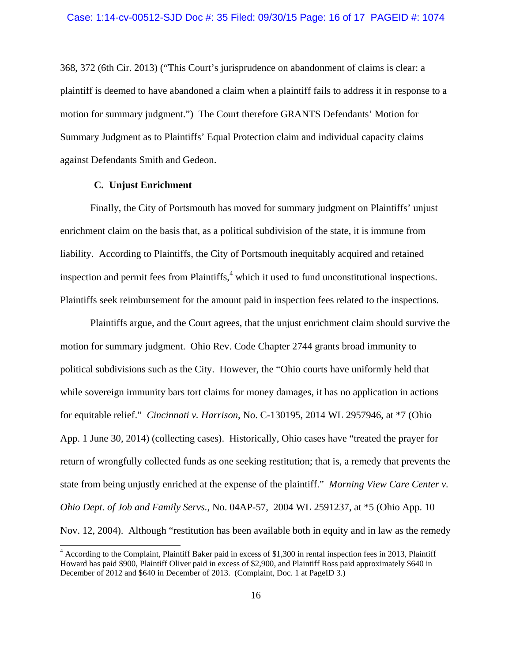368, 372 (6th Cir. 2013) ("This Court's jurisprudence on abandonment of claims is clear: a plaintiff is deemed to have abandoned a claim when a plaintiff fails to address it in response to a motion for summary judgment.") The Court therefore GRANTS Defendants' Motion for Summary Judgment as to Plaintiffs' Equal Protection claim and individual capacity claims against Defendants Smith and Gedeon.

# **C. Unjust Enrichment**

 $\overline{\phantom{a}}$ 

 Finally, the City of Portsmouth has moved for summary judgment on Plaintiffs' unjust enrichment claim on the basis that, as a political subdivision of the state, it is immune from liability. According to Plaintiffs, the City of Portsmouth inequitably acquired and retained inspection and permit fees from Plaintiffs, $4$  which it used to fund unconstitutional inspections. Plaintiffs seek reimbursement for the amount paid in inspection fees related to the inspections.

 Plaintiffs argue, and the Court agrees, that the unjust enrichment claim should survive the motion for summary judgment. Ohio Rev. Code Chapter 2744 grants broad immunity to political subdivisions such as the City. However, the "Ohio courts have uniformly held that while sovereign immunity bars tort claims for money damages, it has no application in actions for equitable relief." *Cincinnati v. Harrison*, No. C-130195, 2014 WL 2957946, at \*7 (Ohio App. 1 June 30, 2014) (collecting cases). Historically, Ohio cases have "treated the prayer for return of wrongfully collected funds as one seeking restitution; that is, a remedy that prevents the state from being unjustly enriched at the expense of the plaintiff." *Morning View Care Center v. Ohio Dept. of Job and Family Servs.*, No. 04AP-57, 2004 WL 2591237, at \*5 (Ohio App. 10 Nov. 12, 2004).Although "restitution has been available both in equity and in law as the remedy

<sup>&</sup>lt;sup>4</sup> According to the Complaint, Plaintiff Baker paid in excess of \$1,300 in rental inspection fees in 2013, Plaintiff Howard has paid \$900, Plaintiff Oliver paid in excess of \$2,900, and Plaintiff Ross paid approximately \$640 in December of 2012 and \$640 in December of 2013. (Complaint, Doc. 1 at PageID 3.)